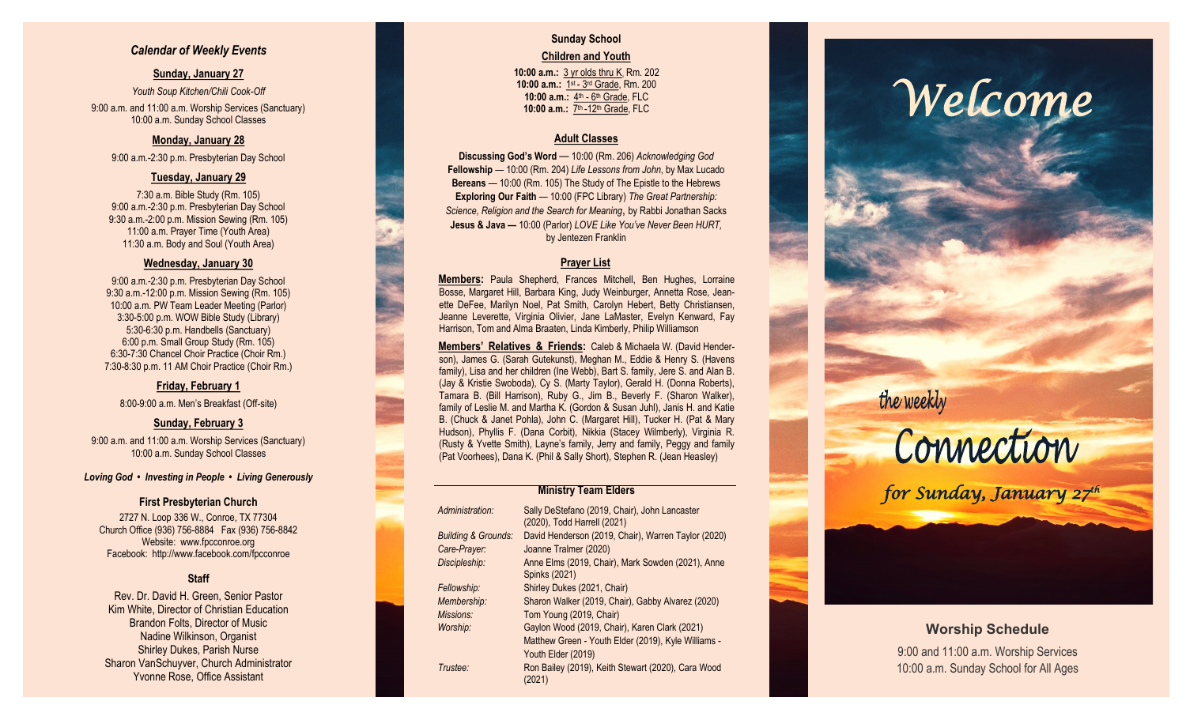## *Calendar of Weekly Events*

## **Sunday, January 27**

*Youth Soup Kitchen/Chili Cook -Off* 9:00 a.m. and 11:00 a.m. Worship Services (Sanctuary) 10:00 a.m. Sunday School Classes

## **Monday, January 28**

9:00 a.m. -2:30 p.m. Presbyterian Day School

## **Tuesday, January 29**

7:30 a.m. Bible Study (Rm. 105) 9:00 a.m. -2:30 p.m. Presbyterian Day School 9:30 a.m. -2:00 p.m. Mission Sewing (Rm. 105) 11:00 a.m. Prayer Time (Youth Area) 11:30 a.m. Body and Soul (Youth Area)

### **Wednesday, January 30**

9:00 a.m. -2:30 p.m. Presbyterian Day School 9:30 a.m. -12:00 p.m. Mission Sewing (Rm. 105) 10:00 a.m. PW Team Leader Meeting (Parlor) 3:30 -5:00 p.m. WOW Bible Study (Library) 5:30 -6:30 p.m. Handbells (Sanctuary) 6:00 p.m. Small Group Study (Rm. 105) 6:30 -7:30 Chancel Choir Practice (Choir Rm.) 7:30 -8:30 p.m. 11 AM Choir Practice (Choir Rm.)

## **Friday, February 1**

8:00 -9:00 a.m. Men's Breakfast (Off -site)

## **Sunday, February 3**

9:00 a.m. and 11:00 a.m. Worship Services (Sanctuary) 10:00 a.m. Sunday School Classes

#### *Loving God • Investing in People • Living Generously*

### **First Presbyterian Church**

2727 N. Loop 336 W., Conroe, TX 77304 Church Office (936) 756 -8884 Fax (936) 756 -8842 Website: [www.fpcconroe.org](http://www.fpcconroe.org/) Facebook: <http://www.facebook.com/fpcconroe>

## **Staff**

Rev. Dr. David H. Green, Senior Pastor Kim White, Director of Christian Education Brandon Folts, Director of Music Nadine Wilkinson, Organist Shirley Dukes, Parish Nurse Sharon VanSchuyver, Church Administrator Yvonne Rose, Office Assistant

## **Sunday School Children and Youth**

**10:00 a.m.:** 3 yr olds thru K, Rm. 202 10:00 a.m.: 1st - 3rd Grade, Rm. 200 10:00 a.m.: 4<sup>th</sup> - 6<sup>th</sup> Grade, FLC 10:00 a.m.: 7<sup>th</sup> -12<sup>th</sup> Grade, FLC

## **Adult Classes**

**Discussing God's Word**  — 10:00 (Rm. 206) *Acknowledging God* **Fellowship** — 10:00 (Rm. 204) *Life Lessons from John*, by Max Lucado **Bereans** — 10:00 (Rm. 105) The Study of The Epistle to the Hebrews **Exploring Our Faith**  — 10:00 (FPC Library) *The Great Partnership: Science, Religion and the Search for Meaning*, by Rabbi Jonathan Sacks **Jesus & Java —** 10:00 (Parlor) *LOVE Like You've Never Been HURT,*  by Jentezen Franklin

## **Prayer List**

**Members :** Paula Shepherd, Frances Mitchell, Ben Hughes, Lorraine Bosse, Margaret Hill, Barbara King, Judy Weinburger, Annetta Rose, Jeanette DeFee, Marilyn Noel, Pat Smith, Carolyn Hebert, Betty Christiansen, Jeanne Leverette, Virginia Olivier, Jane LaMaster, Evelyn Kenward, Fay Harrison, Tom and Alma Braaten, Linda Kimberly, Philip Williamson

**Members' Relatives & Friends:** Caleb & Michaela W. (David Henderson), James G. (Sarah Gutekunst), Meghan M., Eddie & Henry S. (Havens family), Lisa and her children (Ine Webb), Bart S. family, Jere S. and Alan B. (Jay & Kristie Swoboda), Cy S. (Marty Taylor), Gerald H. (Donna Roberts), Tamara B. (Bill Harrison), Ruby G., Jim B., Beverly F. (Sharon Walker), family of Leslie M. and Martha K. (Gordon & Susan Juhl), Janis H. and Katie B. (Chuck & Janet Pohla), John C. (Margaret Hill), Tucker H. (Pat & Mary Hudson), Phyllis F. (Dana Corbit), Nikkia (Stacey Wilmberly), Virginia R. (Rusty & Yvette Smith), Layne's family, Jerry and family, Peggy and family (Pat Voorhees), Dana K. (Phil & Sally Short), Stephen R. (Jean Heasley)

## **Ministry Team Elders**

| Administration:                | Sally DeStefano (2019, Chair), John Lancaster<br>(2020), Todd Harrell (2021) |
|--------------------------------|------------------------------------------------------------------------------|
| <b>Building &amp; Grounds:</b> | David Henderson (2019, Chair), Warren Taylor (2020)                          |
| Care-Prayer:                   | Joanne Tralmer (2020)                                                        |
| Discipleship:                  | Anne Elms (2019, Chair), Mark Sowden (2021), Anne<br>Spinks (2021)           |
| Fellowship:                    | Shirley Dukes (2021, Chair)                                                  |
| Membership:                    | Sharon Walker (2019, Chair), Gabby Alvarez (2020)                            |
| Missions:                      | Tom Young (2019, Chair)                                                      |
| Worship:                       | Gaylon Wood (2019, Chair), Karen Clark (2021)                                |
|                                | Matthew Green - Youth Elder (2019), Kyle Williams -                          |
|                                | Youth Elder (2019)                                                           |
| Trustee:                       | Ron Bailey (2019), Keith Stewart (2020), Cara Wood<br>(2021)                 |

# *Welcome*

## the weekly



*for Sunday, January 27th* 

## **Worship Schedule**

9:00 and 11:00 a.m. Worship Services 10:00 a.m. Sunday School for All Ages